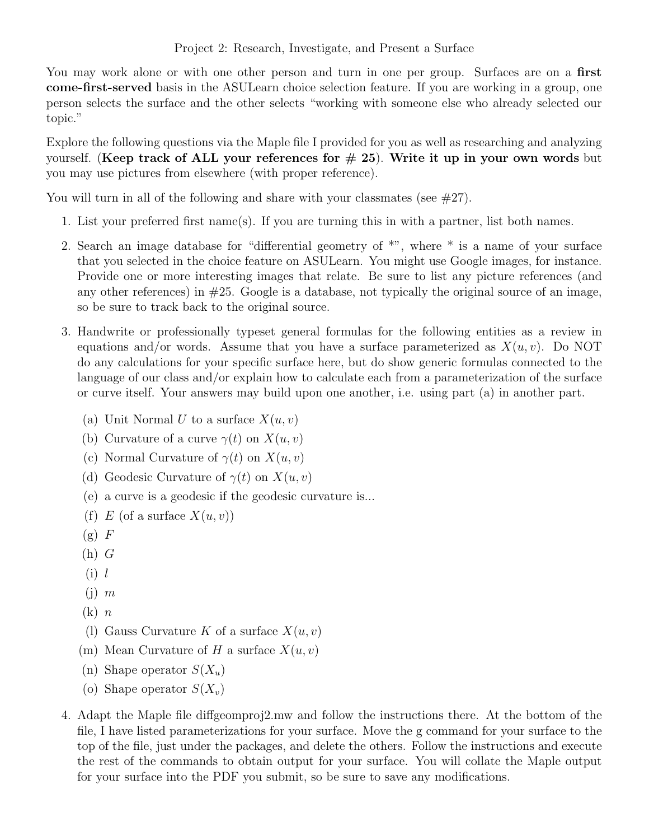You may work alone or with one other person and turn in one per group. Surfaces are on a first come-first-served basis in the ASULearn choice selection feature. If you are working in a group, one person selects the surface and the other selects "working with someone else who already selected our topic."

Explore the following questions via the Maple file I provided for you as well as researching and analyzing yourself. (Keep track of ALL your references for  $\# 25$ ). Write it up in your own words but you may use pictures from elsewhere (with proper reference).

You will turn in all of the following and share with your classmates (see  $\#27$ ).

- 1. List your preferred first name(s). If you are turning this in with a partner, list both names.
- 2. Search an image database for "differential geometry of \*", where \* is a name of your surface that you selected in the choice feature on ASULearn. You might use Google images, for instance. Provide one or more interesting images that relate. Be sure to list any picture references (and any other references) in  $#25$ . Google is a database, not typically the original source of an image, so be sure to track back to the original source.
- 3. Handwrite or professionally typeset general formulas for the following entities as a review in equations and/or words. Assume that you have a surface parameterized as  $X(u, v)$ . Do NOT do any calculations for your specific surface here, but do show generic formulas connected to the language of our class and/or explain how to calculate each from a parameterization of the surface or curve itself. Your answers may build upon one another, i.e. using part (a) in another part.
	- (a) Unit Normal U to a surface  $X(u, v)$
	- (b) Curvature of a curve  $\gamma(t)$  on  $X(u, v)$
	- (c) Normal Curvature of  $\gamma(t)$  on  $X(u, v)$
	- (d) Geodesic Curvature of  $\gamma(t)$  on  $X(u, v)$
	- (e) a curve is a geodesic if the geodesic curvature is...
	- (f) E (of a surface  $X(u, v)$ )
	- $(g)$  F
	- $(h)$   $G$
	- $(i)$  l
	- $(i)$  m
	- $(k)$   $n$
	- (1) Gauss Curvature K of a surface  $X(u, v)$
	- (m) Mean Curvature of H a surface  $X(u, v)$
	- (n) Shape operator  $S(X_u)$
	- (o) Shape operator  $S(X_v)$
- 4. Adapt the Maple file diffgeomproj2.mw and follow the instructions there. At the bottom of the file, I have listed parameterizations for your surface. Move the g command for your surface to the top of the file, just under the packages, and delete the others. Follow the instructions and execute the rest of the commands to obtain output for your surface. You will collate the Maple output for your surface into the PDF you submit, so be sure to save any modifications.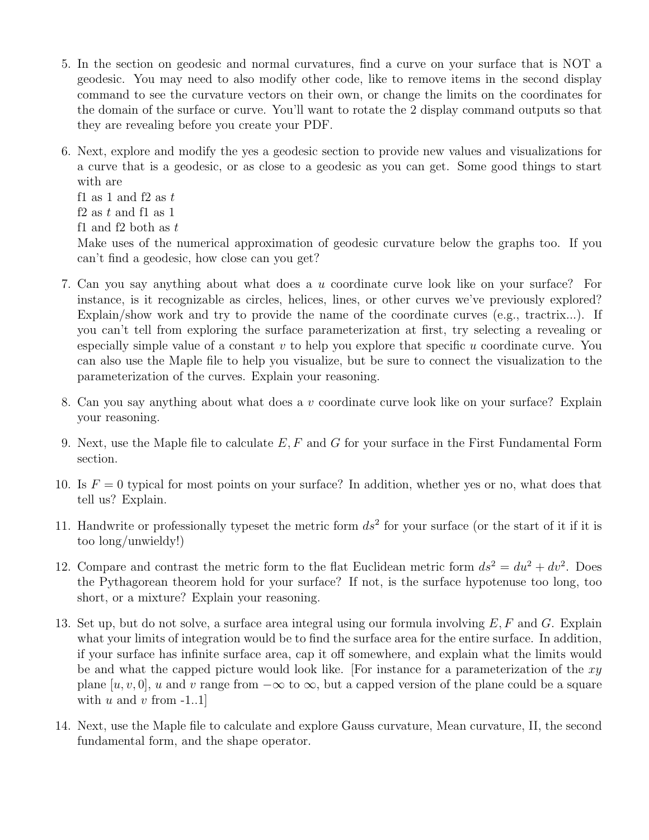- 5. In the section on geodesic and normal curvatures, find a curve on your surface that is NOT a geodesic. You may need to also modify other code, like to remove items in the second display command to see the curvature vectors on their own, or change the limits on the coordinates for the domain of the surface or curve. You'll want to rotate the 2 display command outputs so that they are revealing before you create your PDF.
- 6. Next, explore and modify the yes a geodesic section to provide new values and visualizations for a curve that is a geodesic, or as close to a geodesic as you can get. Some good things to start with are

f1 as 1 and f2 as  $t$ f2 as  $t$  and f1 as 1 f1 and f2 both as  $t$ 

Make uses of the numerical approximation of geodesic curvature below the graphs too. If you can't find a geodesic, how close can you get?

- 7. Can you say anything about what does a u coordinate curve look like on your surface? For instance, is it recognizable as circles, helices, lines, or other curves we've previously explored? Explain/show work and try to provide the name of the coordinate curves (e.g., tractrix...). If you can't tell from exploring the surface parameterization at first, try selecting a revealing or especially simple value of a constant  $v$  to help you explore that specific  $u$  coordinate curve. You can also use the Maple file to help you visualize, but be sure to connect the visualization to the parameterization of the curves. Explain your reasoning.
- 8. Can you say anything about what does a  $v$  coordinate curve look like on your surface? Explain your reasoning.
- 9. Next, use the Maple file to calculate  $E, F$  and  $G$  for your surface in the First Fundamental Form section.
- 10. Is  $F = 0$  typical for most points on your surface? In addition, whether yes or no, what does that tell us? Explain.
- 11. Handwrite or professionally typeset the metric form  $ds^2$  for your surface (or the start of it if it is too long/unwieldy!)
- 12. Compare and contrast the metric form to the flat Euclidean metric form  $ds^2 = du^2 + dv^2$ . Does the Pythagorean theorem hold for your surface? If not, is the surface hypotenuse too long, too short, or a mixture? Explain your reasoning.
- 13. Set up, but do not solve, a surface area integral using our formula involving  $E, F$  and  $G$ . Explain what your limits of integration would be to find the surface area for the entire surface. In addition, if your surface has infinite surface area, cap it off somewhere, and explain what the limits would be and what the capped picture would look like. For instance for a parameterization of the  $xy$ plane [u, v, 0], u and v range from  $-\infty$  to  $\infty$ , but a capped version of the plane could be a square with u and v from  $-1.1$ ]
- 14. Next, use the Maple file to calculate and explore Gauss curvature, Mean curvature, II, the second fundamental form, and the shape operator.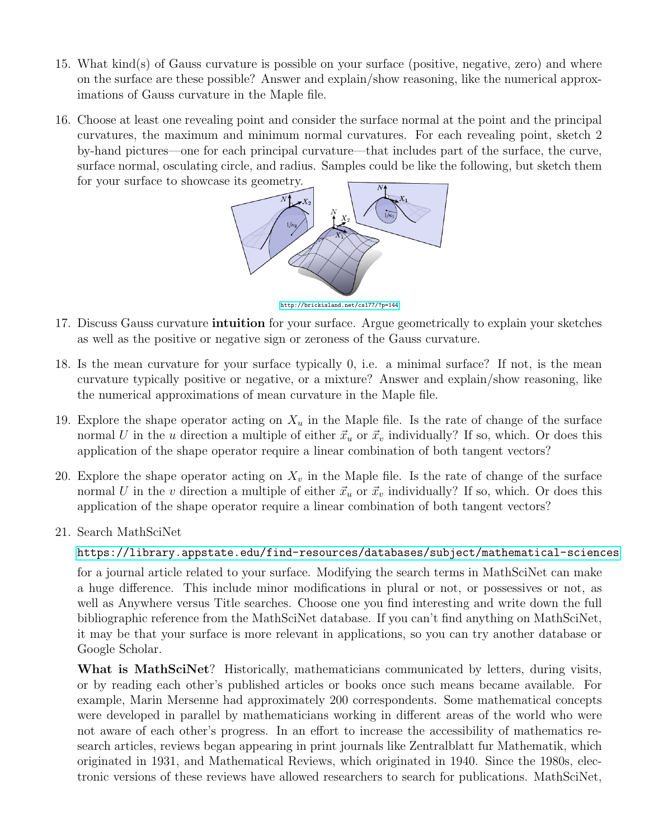- 15. What kind(s) of Gauss curvature is possible on your surface (positive, negative, zero) and where on the surface are these possible? Answer and explain/show reasoning, like the numerical approximations of Gauss curvature in the Maple file.
- 16. Choose at least one revealing point and consider the surface normal at the point and the principal curvatures, the maximum and minimum normal curvatures. For each revealing point, sketch 2 by-hand pictures—one for each principal curvature—that includes part of the surface, the curve, surface normal, osculating circle, and radius. Samples could be like the following, but sketch them for your surface to showcase its geometry.



<http://brickisland.net/cs177/?p=144>

- 17. Discuss Gauss curvature **intuition** for your surface. Argue geometrically to explain your sketches as well as the positive or negative sign or zeroness of the Gauss curvature.
- 18. Is the mean curvature for your surface typically 0, i.e. a minimal surface? If not, is the mean curvature typically positive or negative, or a mixture? Answer and explain/show reasoning, like the numerical approximations of mean curvature in the Maple file.
- 19. Explore the shape operator acting on  $X_u$  in the Maple file. Is the rate of change of the surface normal U in the u direction a multiple of either  $\vec{x}_u$  or  $\vec{x}_v$  individually? If so, which. Or does this application of the shape operator require a linear combination of both tangent vectors?
- 20. Explore the shape operator acting on  $X_v$  in the Maple file. Is the rate of change of the surface normal U in the v direction a multiple of either  $\vec{x}_u$  or  $\vec{x}_v$  individually? If so, which. Or does this application of the shape operator require a linear combination of both tangent vectors?
- 21. Search MathSciNet

<https://library.appstate.edu/find-resources/databases/subject/mathematical-sciences>

for a journal article related to your surface. Modifying the search terms in MathSciNet can make a huge difference. This include minor modifications in plural or not, or possessives or not, as well as Anywhere versus Title searches. Choose one you find interesting and write down the full bibliographic reference from the MathSciNet database. If you can't find anything on MathSciNet, it may be that your surface is more relevant in applications, so you can try another database or Google Scholar.

What is MathSciNet? Historically, mathematicians communicated by letters, during visits, or by reading each other's published articles or books once such means became available. For example, Marin Mersenne had approximately 200 correspondents. Some mathematical concepts were developed in parallel by mathematicians working in different areas of the world who were not aware of each other's progress. In an effort to increase the accessibility of mathematics research articles, reviews began appearing in print journals like Zentralblatt fur Mathematik, which originated in 1931, and Mathematical Reviews, which originated in 1940. Since the 1980s, electronic versions of these reviews have allowed researchers to search for publications. MathSciNet,